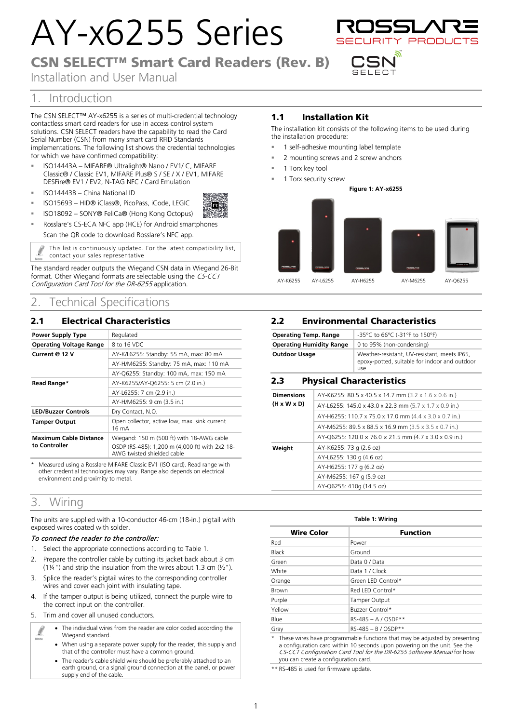# AY-x6255 Series

# CSN SELECT™ Smart Card Readers (Rev. B)

ΪR

Installation and User Manual



# 1. Introduction

The CSN SELECT™ AY-x6255 is a series of multi-credential technology contactless smart card readers for use in access control system solutions. CSN SELECT readers have the capability to read the Card Serial Number (CSN) from many smart card RFID Standards implementations. The following list shows the credential technologies for which we have confirmed compatibility:

- ISO14443A MIFARE® Ultralight® Nano / EV1/ C, MIFARE Classic® / Classic EV1, MIFARE Plus® S / SE / X / EV1, MIFARE DESFire® EV1 / EV2, N-TAG NFC / Card Emulation
- ISO14443B China National ID
- ISO15693 HID® iClass®, PicoPass, iCode, LEGIC
- ISO18092 SONY® FeliCa® (Hong Kong Octopus)
- Rosslare's CS-ECA NFC app (HCE) for Android smartphones Scan the QR code to download Rosslare's NFC app.

 $\int\limits_{-\infty}^{\infty}% {\mathbb{P}^2} \left( \int\limits_{-\infty}^{\infty}% {\mathbb{P}^2} \left( {\mathbb{P}^2} \right) \mathbb{P}^2 \left( {\mathbb{P}^2} \right) \right) \mathbb{P}^2 \left( {\mathbb{P}^2} \right) \mathbb{P}^2 \left( {\mathbb{P}^2} \right) \mathbb{P}^2 \left( {\mathbb{P}^2} \right) \mathbb{P}^2 \left( {\mathbb{P}^2} \right) \mathbb{P}^2 \left( {\mathbb{P}^2} \right) \mathbb{P}^2 \left( {\mathbb{$ This list is continuously updated. For the latest compatibility list, contact your sales representative

The standard reader outputs the Wiegand CSN data in Wiegand 26-Bit format. Other Wiegand formats are selectable using the CS-CCT Configuration Card Tool for the DR-6255 application.

# 2. Technical Specifications

## 2.1 Electrical Characteristics

| <b>Power Supply Type</b>                       | Regulated                                                                    |
|------------------------------------------------|------------------------------------------------------------------------------|
| <b>Operating Voltage Range</b>                 | 8 to 16 VDC                                                                  |
| Current @ 12 V                                 | AY-K/L6255: Standby: 55 mA, max: 80 mA                                       |
|                                                | AY-H/M6255: Standby: 75 mA, max: 110 mA                                      |
|                                                | AY-Q6255: Standby: 100 mA, max: 150 mA                                       |
| Read Range*                                    | AY-K6255/AY-Q6255: 5 cm (2.0 in.)                                            |
|                                                | AY-L6255: 7 cm (2.9 in.)                                                     |
|                                                | AY-H/M6255: 9 cm (3.5 in.)                                                   |
| <b>LED/Buzzer Controls</b>                     | Dry Contact, N.O.                                                            |
| <b>Tamper Output</b>                           | Open collector, active low, max. sink current<br>$16 \text{ mA}$             |
| <b>Maximum Cable Distance</b><br>to Controller | Wiegand: 150 m (500 ft) with 18-AWG cable                                    |
|                                                | OSDP (RS-485): 1,200 m (4,000 ft) with 2x2 18-<br>AWG twisted shielded cable |

Measured using a Rosslare MIFARE Classic EV1 (ISO card). Read range with other credential technologies may vary. Range also depends on electrical environment and proximity to metal.

## 3. Wiring

The units are supplied with a 10-conductor 46-cm (18-in.) pigtail with exposed wires coated with solder.

#### To connect the reader to the controller:

- 1. Select the appropriate connections according t[o Table 1.](#page-0-0)
- 2. Prepare the controller cable by cutting its jacket back about 3 cm (1¼") and strip the insulation from the wires about 1.3 cm (½").
- 3. Splice the reader's pigtail wires to the corresponding controller wires and cover each joint with insulating tape.
- 4. If the tamper output is being utilized, connect the purple wire to the correct input on the controller.
- 5. Trim and cover all unused conductors.
	- The individual wires from the reader are color coded according the Ø Wiegand standard. Note
		- When using a separate power supply for the reader, this supply and that of the controller must have a common ground.
		- The reader's cable shield wire should be preferably attached to an earth ground, or a signal ground connection at the panel, or power supply end of the cable.

## 1.1 Installation Kit

The installation kit consists of the following items to be used during the installation procedure:

- 1 self-adhesive mounting label template
- 2 mounting screws and 2 screw anchors
- 1 Torx key tool
- 1 Torx security screw



## 2.2 Environmental Characteristics

| <b>Operating Temp. Range</b>    | -35°C to 66°C (-31°F to 150°F)                                                                       |
|---------------------------------|------------------------------------------------------------------------------------------------------|
| <b>Operating Humidity Range</b> | 0 to 95% (non-condensing)                                                                            |
| <b>Outdoor Usage</b>            | Weather-resistant, UV-resistant, meets IP65,<br>epoxy-potted, suitable for indoor and outdoor<br>use |

### 2.3 Physical Characteristics

| <b>Dimensions</b>       | AY-K6255: 80.5 x 40.5 x 14.7 mm (3.2 x 1.6 x 0.6 in.)  |
|-------------------------|--------------------------------------------------------|
| $(H \times W \times D)$ | AY-L6255: 145.0 x 43.0 x 22.3 mm (5.7 x 1.7 x 0.9 in.) |
|                         | AY-H6255: 110.7 x 75.0 x 17.0 mm (4.4 x 3.0 x 0.7 in.) |
|                         | AY-M6255: 89.5 x 88.5 x 16.9 mm (3.5 x 3.5 x 0.7 in.)  |
|                         | AY-Q6255: 120.0 x 76.0 x 21.5 mm (4.7 x 3.0 x 0.9 in.) |
| Weight                  | AY-K6255: 73 g (2.6 oz)                                |
|                         | AY-L6255: 130 g (4.6 oz)                               |
|                         | AY-H6255: 177 g (6.2 oz)                               |
|                         | AY-M6255: 167 g (5.9 oz)                               |
|                         | AY-Q6255: 410g (14.5 oz)                               |

<span id="page-0-0"></span>

| Table 1: Wiring   |                       |  |
|-------------------|-----------------------|--|
| <b>Wire Color</b> | <b>Function</b>       |  |
| Red               | Power                 |  |
| Black             | Ground                |  |
| Green             | Data 0 / Data         |  |
| White             | Data 1 / Clock        |  |
| Orange            | Green LED Control*    |  |
| <b>Brown</b>      | Red LED Control*      |  |
| Purple            | Tamper Output         |  |
| Yellow            | Buzzer Control*       |  |
| Blue              | $RS-485 - A / OSDP**$ |  |
| Gray              | $RS-485 - B / OSDP**$ |  |

\* These wires have programmable functions that may be adjusted by presenting a configuration card within 10 seconds upon powering on the unit. See the CS-CCT Configuration Card Tool for the DR-6255 Software Manual for how you can create a configuration card.

\*\* RS-485 is used for firmware update